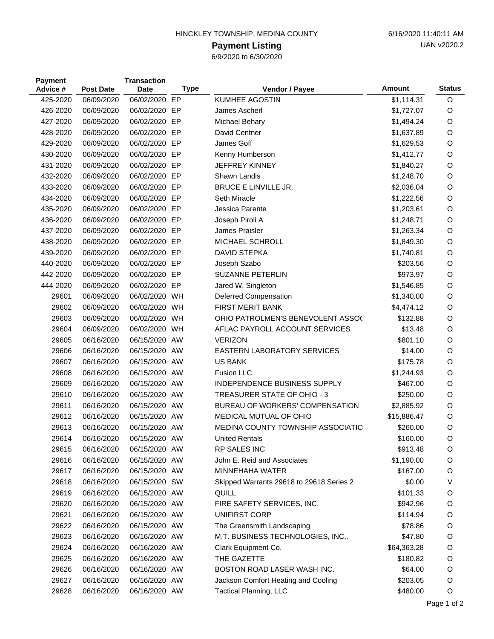## HINCKLEY TOWNSHIP, MEDINA COUNTY 6/16/2020 11:40:11 AM

## **Payment Listing**

6/9/2020 to 6/30/2020

| <b>Payment</b><br>Advice # | <b>Post Date</b> | <b>Transaction</b><br><b>Date</b> | <b>Type</b> | Vendor / Payee                           | <b>Amount</b> | <b>Status</b> |
|----------------------------|------------------|-----------------------------------|-------------|------------------------------------------|---------------|---------------|
| 425-2020                   | 06/09/2020       | 06/02/2020                        | EP          | <b>KUMHEE AGOSTIN</b>                    | \$1,114.31    | O             |
| 426-2020                   | 06/09/2020       | 06/02/2020 EP                     |             | James Ascherl                            | \$1,727.07    | O             |
| 427-2020                   | 06/09/2020       | 06/02/2020                        | EP          | Michael Behary                           | \$1,494.24    | O             |
| 428-2020                   | 06/09/2020       | 06/02/2020                        | EP          | David Centner                            | \$1,637.89    | O             |
| 429-2020                   | 06/09/2020       | 06/02/2020                        | EP          | James Goff                               | \$1,629.53    | O             |
| 430-2020                   | 06/09/2020       | 06/02/2020                        | EP          | Kenny Humberson                          | \$1,412.77    | O             |
| 431-2020                   | 06/09/2020       | 06/02/2020                        | EP          | <b>JEFFREY KINNEY</b>                    | \$1,840.27    | O             |
| 432-2020                   | 06/09/2020       | 06/02/2020                        | EP          | Shawn Landis                             | \$1,248.70    | O             |
| 433-2020                   | 06/09/2020       | 06/02/2020 EP                     |             | <b>BRUCE E LINVILLE JR.</b>              | \$2,036.04    | O             |
| 434-2020                   | 06/09/2020       | 06/02/2020                        | EP          | Seth Miracle                             | \$1,222.56    | O             |
| 435-2020                   | 06/09/2020       | 06/02/2020 EP                     |             | Jessica Parente                          | \$1,203.61    | $\circ$       |
| 436-2020                   | 06/09/2020       | 06/02/2020                        | EP          | Joseph Piroli A                          | \$1,248.71    | O             |
| 437-2020                   | 06/09/2020       | 06/02/2020 EP                     |             | James Praisler                           | \$1,263.34    | O             |
| 438-2020                   | 06/09/2020       | 06/02/2020                        | EP          | MICHAEL SCHROLL                          | \$1,849.30    | O             |
| 439-2020                   | 06/09/2020       | 06/02/2020 EP                     |             | <b>DAVID STEPKA</b>                      | \$1,740.81    | O             |
| 440-2020                   | 06/09/2020       | 06/02/2020                        | EP          | Joseph Szabo                             | \$203.56      | O             |
| 442-2020                   | 06/09/2020       | 06/02/2020 EP                     |             | <b>SUZANNE PETERLIN</b>                  | \$973.97      | O             |
| 444-2020                   | 06/09/2020       | 06/02/2020                        | EP          | Jared W. Singleton                       | \$1,546.85    | O             |
| 29601                      | 06/09/2020       | 06/02/2020 WH                     |             | Deferred Compensation                    | \$1,340.00    | O             |
| 29602                      | 06/09/2020       | 06/02/2020 WH                     |             | <b>FIRST MERIT BANK</b>                  | \$4,474.12    | O             |
| 29603                      | 06/09/2020       | 06/02/2020 WH                     |             | OHIO PATROLMEN'S BENEVOLENT ASSO(        | \$132.88      | O             |
| 29604                      | 06/09/2020       | 06/02/2020 WH                     |             | AFLAC PAYROLL ACCOUNT SERVICES           | \$13.48       | O             |
| 29605                      | 06/16/2020       | 06/15/2020 AW                     |             | <b>VERIZON</b>                           | \$801.10      | O             |
| 29606                      | 06/16/2020       | 06/15/2020 AW                     |             | EASTERN LABORATORY SERVICES              | \$14.00       | O             |
| 29607                      | 06/16/2020       | 06/15/2020 AW                     |             | <b>US BANK</b>                           | \$175.78      | O             |
| 29608                      | 06/16/2020       | 06/15/2020 AW                     |             | <b>Fusion LLC</b>                        | \$1,244.93    | O             |
| 29609                      | 06/16/2020       | 06/15/2020 AW                     |             | INDEPENDENCE BUSINESS SUPPLY             | \$467.00      | O             |
| 29610                      | 06/16/2020       | 06/15/2020 AW                     |             | TREASURER STATE OF OHIO - 3              | \$250.00      | O             |
| 29611                      | 06/16/2020       | 06/15/2020 AW                     |             | BUREAU OF WORKERS' COMPENSATION          | \$2,885.92    | O             |
| 29612                      | 06/16/2020       | 06/15/2020 AW                     |             | MEDICAL MUTUAL OF OHIO                   | \$15,886.47   | O             |
| 29613                      | 06/16/2020       | 06/15/2020 AW                     |             | MEDINA COUNTY TOWNSHIP ASSOCIATIO        | \$260.00      | O             |
| 29614                      | 06/16/2020       | 06/15/2020 AW                     |             | <b>United Rentals</b>                    | \$160.00      | O             |
| 29615                      | 06/16/2020       | 06/15/2020 AW                     |             | RP SALES INC                             | \$913.48      | O             |
| 29616                      | 06/16/2020       | 06/15/2020 AW                     |             | John E. Reid and Associates              | \$1,190.00    | $\circ$       |
| 29617                      | 06/16/2020       | 06/15/2020 AW                     |             | MINNEHAHA WATER                          | \$167.00      | O             |
| 29618                      | 06/16/2020       | 06/15/2020 SW                     |             | Skipped Warrants 29618 to 29618 Series 2 | \$0.00        | $\vee$        |
| 29619                      | 06/16/2020       | 06/15/2020 AW                     |             | QUILL                                    | \$101.33      | O             |
| 29620                      | 06/16/2020       | 06/15/2020 AW                     |             | FIRE SAFETY SERVICES, INC.               | \$942.96      | $\circ$       |
| 29621                      | 06/16/2020       | 06/15/2020 AW                     |             | UNIFIRST CORP                            | \$114.94      | O             |
| 29622                      | 06/16/2020       | 06/15/2020 AW                     |             | The Greensmith Landscaping               | \$78.86       | O             |
| 29623                      | 06/16/2020       | 06/16/2020 AW                     |             | M.T. BUSINESS TECHNOLOGIES, INC,.        | \$47.80       | O             |
| 29624                      | 06/16/2020       | 06/16/2020 AW                     |             | Clark Equipment Co.                      | \$64,363.28   | $\circ$       |
| 29625                      | 06/16/2020       | 06/16/2020 AW                     |             | THE GAZETTE                              | \$180.82      | O             |
| 29626                      | 06/16/2020       | 06/16/2020 AW                     |             | BOSTON ROAD LASER WASH INC.              | \$64.00       | O             |
| 29627                      | 06/16/2020       | 06/16/2020 AW                     |             | Jackson Comfort Heating and Cooling      | \$203.05      | O             |
| 29628                      | 06/16/2020       | 06/16/2020 AW                     |             | <b>Tactical Planning, LLC</b>            | \$480.00      | O             |